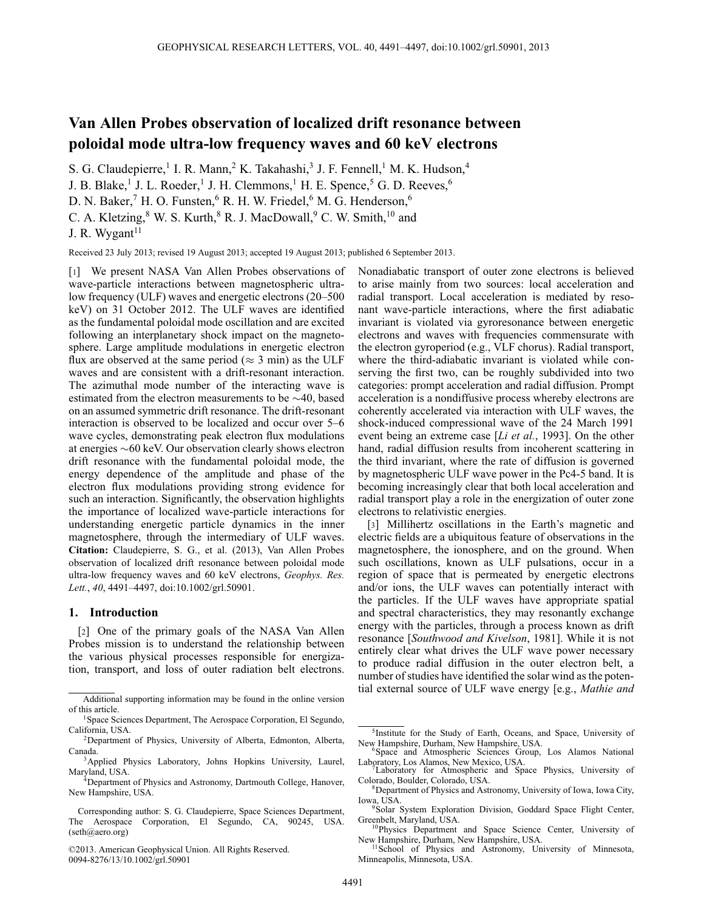# **Van Allen Probes observation of localized drift resonance between poloidal mode ultra-low frequency waves and 60 keV electrons**

S. G. Claudepierre,<sup>1</sup> I. R. Mann,<sup>2</sup> K. Takahashi,<sup>3</sup> J. F. Fennell,<sup>1</sup> M. K. Hudson,<sup>4</sup>

J. B. Blake,<sup>1</sup> J. L. Roeder,<sup>1</sup> J. H. Clemmons,<sup>1</sup> H. E. Spence,<sup>5</sup> G. D. Reeves,<sup>6</sup>

D. N. Baker,<sup>7</sup> H. O. Funsten,<sup>6</sup> R. H. W. Friedel,<sup>6</sup> M. G. Henderson,<sup>6</sup>

C. A. Kletzing,  $W$ . S. Kurth,  $R$ , J. MacDowall,  $C$ . W. Smith,  $10$  and

J. R. Wygant $11$ 

Received 23 July 2013; revised 19 August 2013; accepted 19 August 2013; published 6 September 2013.

[1] We present NASA Van Allen Probes observations of wave-particle interactions between magnetospheric ultralow frequency (ULF) waves and energetic electrons (20–500 keV) on 31 October 2012. The ULF waves are identified as the fundamental poloidal mode oscillation and are excited following an interplanetary shock impact on the magnetosphere. Large amplitude modulations in energetic electron flux are observed at the same period ( $\approx$  3 min) as the ULF waves and are consistent with a drift-resonant interaction. The azimuthal mode number of the interacting wave is estimated from the electron measurements to be  $\sim$ 40, based on an assumed symmetric drift resonance. The drift-resonant interaction is observed to be localized and occur over 5–6 wave cycles, demonstrating peak electron flux modulations at energies  $\sim 60$  keV. Our observation clearly shows electron drift resonance with the fundamental poloidal mode, the energy dependence of the amplitude and phase of the electron flux modulations providing strong evidence for such an interaction. Significantly, the observation highlights the importance of localized wave-particle interactions for understanding energetic particle dynamics in the inner magnetosphere, through the intermediary of ULF waves. **Citation:** Claudepierre, S. G., et al. (2013), Van Allen Probes observation of localized drift resonance between poloidal mode ultra-low frequency waves and 60 keV electrons, *Geophys. Res. Lett.*, *40*, 4491–4497, doi:10.1002/grl.50901.

#### **1. Introduction**

[2] One of the primary goals of the NASA Van Allen Probes mission is to understand the relationship between the various physical processes responsible for energization, transport, and loss of outer radiation belt electrons. Nonadiabatic transport of outer zone electrons is believed to arise mainly from two sources: local acceleration and radial transport. Local acceleration is mediated by resonant wave-particle interactions, where the first adiabatic invariant is violated via gyroresonance between energetic electrons and waves with frequencies commensurate with the electron gyroperiod (e.g., VLF chorus). Radial transport, where the third-adiabatic invariant is violated while conserving the first two, can be roughly subdivided into two categories: prompt acceleration and radial diffusion. Prompt acceleration is a nondiffusive process whereby electrons are coherently accelerated via interaction with ULF waves, the shock-induced compressional wave of the 24 March 1991 event being an extreme case [*[Li et al.](#page-6-1)*, 1993]. On the other hand, radial diffusion results from incoherent scattering in the third invariant, where the rate of diffusion is governed by magnetospheric ULF wave power in the Pc4-5 band. It is becoming increasingly clear that both local acceleration and radial transport play a role in the energization of outer zone electrons to relativistic energies.

[3] Millihertz oscillations in the Earth's magnetic and electric fields are a ubiquitous feature of observations in the magnetosphere, the ionosphere, and on the ground. When such oscillations, known as ULF pulsations, occur in a region of space that is permeated by energetic electrons and/or ions, the ULF waves can potentially interact with the particles. If the ULF waves have appropriate spatial and spectral characteristics, they may resonantly exchange energy with the particles, through a process known as drift resonance [*[Southwood and Kivelson](#page-6-2)*, 1981]. While it is not entirely clear what drives the ULF wave power necessary to produce radial diffusion in the outer electron belt, a number of studies have identified the solar wind as the potential external source of ULF wave energy [e.g., *Mathie and*

Additional supporting information may be found in the online version of this article.

<sup>1</sup>Space Sciences Department, The Aerospace Corporation, El Segundo, California, USA.

<sup>2</sup>Department of Physics, University of Alberta, Edmonton, Alberta, Canada.

<sup>&</sup>lt;sup>3</sup>Applied Physics Laboratory, Johns Hopkins University, Laurel, Maryland, USA.

<sup>4</sup>Department of Physics and Astronomy, Dartmouth College, Hanover, New Hampshire, USA.

Corresponding author: S. G. Claudepierre, Space Sciences Department, The Aerospace Corporation, El Segundo, CA, 90245, USA. (seth@aero.org)

<sup>©2013.</sup> American Geophysical Union. All Rights Reserved. 0094-8276/13/10.1002/grl.50901

<sup>&</sup>lt;sup>5</sup>Institute for the Study of Earth, Oceans, and Space, University of New Hampshire, Durham, New Hampshire, USA.

Space and Atmospheric Sciences Group, Los Alamos National Laboratory, Los Alamos, New Mexico, USA.<br><sup>7</sup>Laboratory for Atmospheric and Space Physics, University of

Colorado, Boulder, Colorado, USA.<br><sup>8</sup>Department of Physics and Astronomy, University of Iowa, Iowa City,

Iowa, USA.<br><sup>9</sup>Solar System Exploration Division, Goddard Space Flight Center,

Greenbelt, Maryland, USA.<br><sup>10</sup>Physics Department and Space Science Center, University of<br>New Hampshire, Durham, New Hampshire, USA.

<sup>&</sup>lt;sup>11</sup> School of Physics and Astronomy, University of Minnesota, Minneapolis, Minnesota, USA.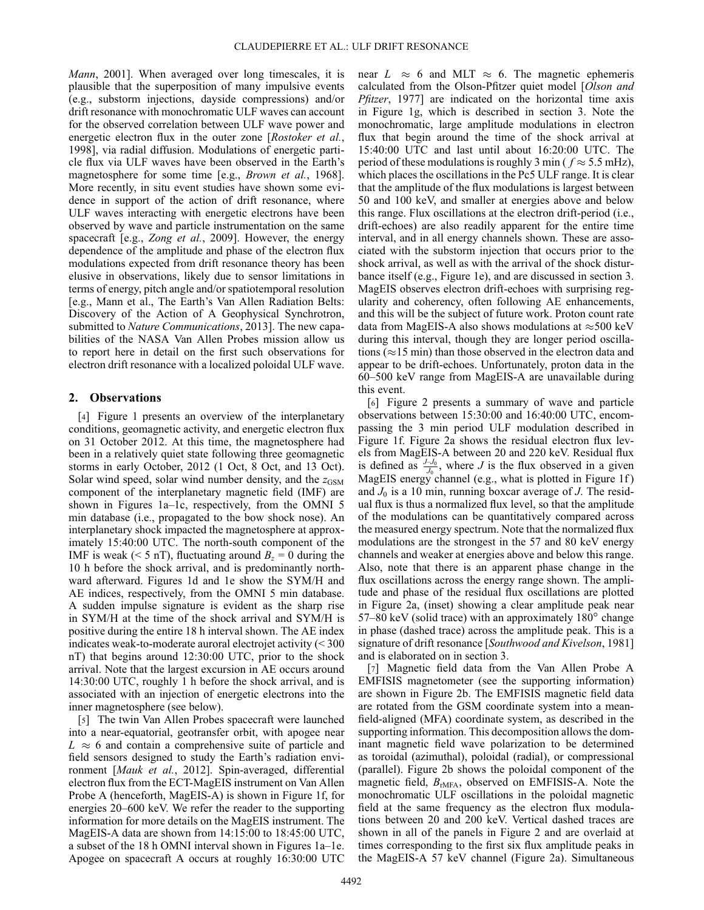*Mann*, [2001\]](#page-6-3). When averaged over long timescales, it is plausible that the superposition of many impulsive events (e.g., substorm injections, dayside compressions) and/or drift resonance with monochromatic ULF waves can account for the observed correlation between ULF wave power and energetic electron flux in the outer zone [*Rostoker et al.*, 1998[\],](#page-6-4) [via](#page-6-4) [radial](#page-6-4) [diffusion.](#page-6-4) [Modulations](#page-6-4) [of](#page-6-4) energetic particle flux via ULF waves have been observed in the Earth's magnetosphere for some time [e.g., *[Brown et al.](#page-6-5)*, [1968\]](#page-6-5). More recently, in situ event studies have shown some evidence in support of the action of drift resonance, where ULF waves interacting with energetic electrons have been observed by wave and particle instrumentation on the same spacecraft [e.g., *[Zong et al.](#page-6-6)*, [2009\]](#page-6-6). However, the energy dependence of the amplitude and phase of the electron flux modulations expected from drift resonance theory has been elusive in observations, likely due to sensor limitations in terms of energy, pitch angle and/or spatiotemporal resolution [e.g., Mann et al., The Earth's Van Allen Radiation Belts: Discovery of the Action of A Geophysical Synchrotron, submitted to *Nature Communications*, 2013]. The new capabilities of the NASA Van Allen Probes mission allow us to report here in detail on the first such observations for electron drift resonance with a localized poloidal ULF wave.

#### <span id="page-1-0"></span>**2. Observations**

[4] Figure [1](#page-2-0) presents an overview of the interplanetary conditions, geomagnetic activity, and energetic electron flux on 31 October 2012. At this time, the magnetosphere had been in a relatively quiet state following three geomagnetic storms in early October, 2012 (1 Oct, 8 Oct, and 13 Oct). Solar wind speed, solar wind number density, and the  $z_{\text{GSM}}$ component of the interplanetary magnetic field (IMF) are shown in Figures [1a–1c](#page-2-0), respectively, from the OMNI 5 min database (i.e., propagated to the bow shock nose). An interplanetary shock impacted the magnetosphere at approximately 15:40:00 UTC. The north-south component of the IMF is weak ( $\leq 5$  nT), fluctuating around  $B_z = 0$  during the 10 h before the shock arrival, and is predominantly northward afterward. Figures [1d](#page-2-0) and [1e](#page-2-0) show the SYM/H and AE indices, respectively, from the OMNI 5 min database. A sudden impulse signature is evident as the sharp rise in SYM/H at the time of the shock arrival and SYM/H is positive during the entire 18 h interval shown. The AE index indicates weak-to-moderate auroral electrojet activity (< 300 nT) that begins around 12:30:00 UTC, prior to the shock arrival. Note that the largest excursion in AE occurs around 14:30:00 UTC, roughly 1 h before the shock arrival, and is associated with an injection of energetic electrons into the inner magnetosphere (see below).

[5] The twin Van Allen Probes spacecraft were launched into a near-equatorial, geotransfer orbit, with apogee near  $L \approx 6$  and contain a comprehensive suite of particle and field sensors designed to study the Earth's radiation environment [*[Mauk et al.](#page-6-7)*, 2012]. Spin-averaged, differential electron flux from the ECT-MagEIS instrument on Van Allen Probe A (henceforth, MagEIS-A) is shown in Figure [1f](#page-2-0), for energies 20–600 keV. We refer the reader to the supporting information for more details on the MagEIS instrument. The MagEIS-A data are shown from 14:15:00 to 18:45:00 UTC, a subset of the 18 h OMNI interval shown in Figures [1a–1e](#page-2-0). Apogee on spacecraft A occurs at roughly 16:30:00 UTC

near  $L \approx 6$  and MLT  $\approx 6$ . The magnetic ephemeris calculated from the Olson-Pfitzer quiet model [*Olson and Pfitzer*, 1977] are indicated on the horizontal time axis in Figure [1g](#page-2-0), which is described in section [3.](#page-2-1) Note the monochromatic, large amplitude modulations in electron flux that begin around the time of the shock arrival at 15:40:00 UTC and last until about 16:20:00 UTC. The period of these modulations is roughly  $3 \text{ min}$  ( $f \approx 5.5 \text{ mHz}$ ), which places the oscillations in the Pc5 ULF range. It is clear that the amplitude of the flux modulations is largest between 50 and 100 keV, and smaller at energies above and below this range. Flux oscillations at the electron drift-period (i.e., drift-echoes) are also readily apparent for the entire time interval, and in all energy channels shown. These are associated with the substorm injection that occurs prior to the shock arrival, as well as with the arrival of the shock disturbance itself (e.g., Figure [1e](#page-2-0)), and are discussed in section [3.](#page-2-1) MagEIS observes electron drift-echoes with surprising regularity and coherency, often following AE enhancements, and this will be the subject of future work. Proton count rate data from MagEIS-A also shows modulations at  $\approx$ 500 keV during this interval, though they are longer period oscillations ( $\approx$ 15 min) than those observed in the electron data and appear to be drift-echoes. Unfortunately, proton data in the 60–500 keV range from MagEIS-A are unavailable during this event.

[6] Figure [2](#page-3-0) presents a summary of wave and particle observations between 15:30:00 and 16:40:00 UTC, encompassing the 3 min period ULF modulation described in Figure [1f](#page-2-0). Figure [2a](#page-3-0) shows the residual electron flux levels from MagEIS-A between 20 and 220 keV. Residual flux is defined as  $\frac{J-J_0}{J_0}$ , where *J* is the flux observed in a given MagEIS energy channel (e.g., what is plotted in Figure [1f](#page-2-0) ) and  $J_0$  is a 10 min, running boxcar average of *J*. The residual flux is thus a normalized flux level, so that the amplitude of the modulations can be quantitatively compared across the measured energy spectrum. Note that the normalized flux modulations are the strongest in the 57 and 80 keV energy channels and weaker at energies above and below this range. Also, note that there is an apparent phase change in the flux oscillations across the energy range shown. The amplitude and phase of the residual flux oscillations are plotted in Figure [2a](#page-3-0), (inset) showing a clear amplitude peak near  $57-80$  keV (solid trace) with an approximately  $180^\circ$  change in phase (dashed trace) across the amplitude peak. This is a signature of drift resonance [*[Southwood and Kivelson](#page-6-2)*, 1981] and is elaborated on in section [3.](#page-2-1)

[7] Magnetic field data from the Van Allen Probe A EMFISIS magnetometer (see the supporting information) are shown in Figure [2b](#page-3-0). The EMFISIS magnetic field data are rotated from the GSM coordinate system into a meanfield-aligned (MFA) coordinate system, as described in the supporting information. This decomposition allows the dominant magnetic field wave polarization to be determined as toroidal (azimuthal), poloidal (radial), or compressional (parallel). Figure [2b](#page-3-0) shows the poloidal component of the magnetic field,  $B<sub>rMFA</sub>$ , observed on EMFISIS-A. Note the monochromatic ULF oscillations in the poloidal magnetic field at the same frequency as the electron flux modulations between 20 and 200 keV. Vertical dashed traces are shown in all of the panels in Figure [2](#page-3-0) and are overlaid at times corresponding to the first six flux amplitude peaks in the MagEIS-A 57 keV channel (Figure [2a](#page-3-0)). Simultaneous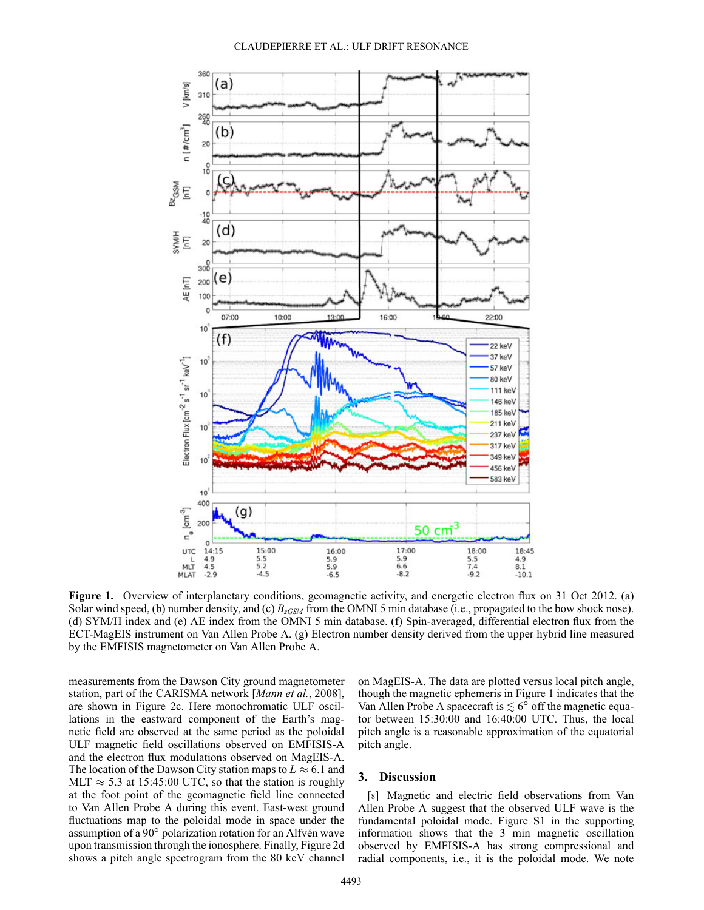

<span id="page-2-0"></span>**Figure 1.** Overview of interplanetary conditions, geomagnetic activity, and energetic electron flux on 31 Oct 2012. (a) Solar wind speed, (b) number density, and (c)  $B_{zGSM}$  from the OMNI 5 min database (i.e., propagated to the bow shock nose). (d) SYM/H index and (e) AE index from the OMNI 5 min database. (f) Spin-averaged, differential electron flux from the ECT-MagEIS instrument on Van Allen Probe A. (g) Electron number density derived from the upper hybrid line measured by the EMFISIS magnetometer on Van Allen Probe A.

measurements from the Dawson City ground magnetometer station, part of the CARISMA network [*[Mann et al.](#page-6-8)*, 2008], are shown in Figure [2c](#page-3-0). Here monochromatic ULF oscillations in the eastward component of the Earth's magnetic field are observed at the same period as the poloidal ULF magnetic field oscillations observed on EMFISIS-A and the electron flux modulations observed on MagEIS-A. The location of the Dawson City station maps to  $L \approx 6.1$  and MLT  $\approx$  5.3 at 15:45:00 UTC, so that the station is roughly at the foot point of the geomagnetic field line connected to Van Allen Probe A during this event. East-west ground fluctuations map to the poloidal mode in space under the assumption of a 90° polarization rotation for an Alfvén wave upon transmission through the ionosphere. Finally, Figure [2d](#page-3-0) shows a pitch angle spectrogram from the 80 keV channel

on MagEIS-A. The data are plotted versus local pitch angle, though the magnetic ephemeris in Figure [1](#page-2-0) indicates that the Van Allen Probe A spacecraft is  $\lesssim$  6° off the magnetic equator between 15:30:00 and 16:40:00 UTC. Thus, the local pitch angle is a reasonable approximation of the equatorial pitch angle.

## <span id="page-2-1"></span>**3. Discussion**

[8] Magnetic and electric field observations from Van Allen Probe A suggest that the observed ULF wave is the fundamental poloidal mode. Figure S1 in the supporting information shows that the 3 min magnetic oscillation observed by EMFISIS-A has strong compressional and radial components, i.e., it is the poloidal mode. We note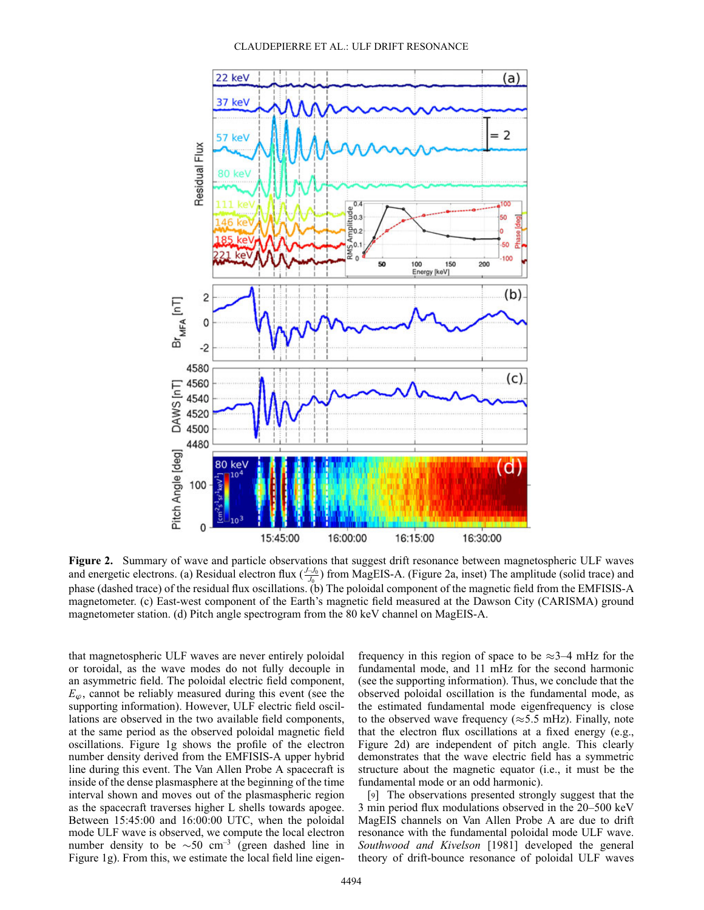

<span id="page-3-0"></span>**Figure 2.** Summary of wave and particle observations that suggest drift resonance between magnetospheric ULF waves and energetic electrons. (a) Residual electron flux  $(\frac{J-J_0}{J_0})$  from MagEIS-A. (Figure [2a](#page-3-0), inset) The amplitude (solid trace) and phase (dashed trace) of the residual flux oscillations. (b) The poloidal component of the magnetic field from the EMFISIS-A magnetometer. (c) East-west component of the Earth's magnetic field measured at the Dawson City (CARISMA) ground magnetometer station. (d) Pitch angle spectrogram from the 80 keV channel on MagEIS-A.

that magnetospheric ULF waves are never entirely poloidal or toroidal, as the wave modes do not fully decouple in an asymmetric field. The poloidal electric field component,  $E_{\varphi}$ , cannot be reliably measured during this event (see the supporting information). However, ULF electric field oscillations are observed in the two available field components, at the same period as the observed poloidal magnetic field oscillations. Figure [1g](#page-2-0) shows the profile of the electron number density derived from the EMFISIS-A upper hybrid line during this event. The Van Allen Probe A spacecraft is inside of the dense plasmasphere at the beginning of the time interval shown and moves out of the plasmaspheric region as the spacecraft traverses higher L shells towards apogee. Between 15:45:00 and 16:00:00 UTC, when the poloidal mode ULF wave is observed, we compute the local electron number density to be  $\sim 50$  cm<sup>-3</sup> (green dashed line in Figure [1g](#page-2-0)). From this, we estimate the local field line eigen-

frequency in this region of space to be  $\approx$  3–4 mHz for the fundamental mode, and 11 mHz for the second harmonic (see the supporting information). Thus, we conclude that the observed poloidal oscillation is the fundamental mode, as the estimated fundamental mode eigenfrequency is close to the observed wave frequency ( $\approx$  5.5 mHz). Finally, note that the electron flux oscillations at a fixed energy (e.g., Figure [2d](#page-3-0)) are independent of pitch angle. This clearly demonstrates that the wave electric field has a symmetric structure about the magnetic equator (i.e., it must be the fundamental mode or an odd harmonic).

[9] The observations presented strongly suggest that the 3 min period flux modulations observed in the 20–500 keV MagEIS channels on Van Allen Probe A are due to drift resonance with the fundamental poloidal mode ULF wave. *[Southwood and Kivelson](#page-6-2)* [1981] developed the general theory of drift-bounce resonance of poloidal ULF waves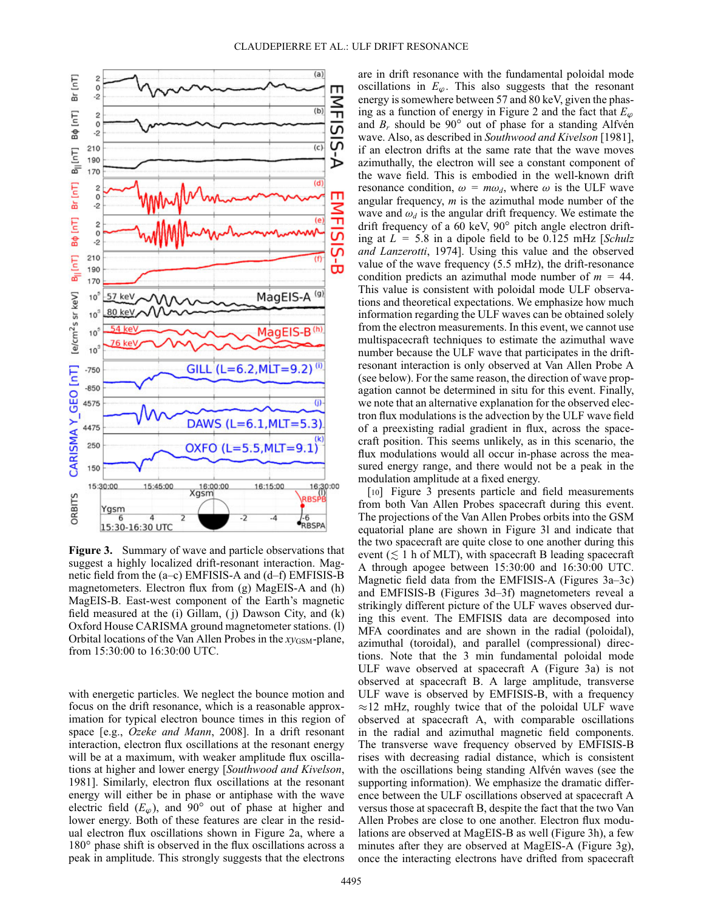

<span id="page-4-0"></span>**Figure 3.** Summary of wave and particle observations that suggest a highly localized drift-resonant interaction. Magnetic field from the (a–c) EMFISIS-A and (d–f) EMFISIS-B magnetometers. Electron flux from (g) MagEIS-A and (h) MagEIS-B. East-west component of the Earth's magnetic field measured at the (i) Gillam, (j) Dawson City, and (k) Oxford House CARISMA ground magnetometer stations. (l) Orbital locations of the Van Allen Probes in the  $xy_{\text{GSM}}$ -plane, from 15:30:00 to 16:30:00 UTC.

with energetic particles. We neglect the bounce motion and focus on the drift resonance, which is a reasonable approximation for typical electron bounce times in this region of space [e.g., *[Ozeke and Mann](#page-6-9)*, [2008\]](#page-6-9). In a drift resonant interaction, electron flux oscillations at the resonant energy will be at a maximum, with weaker amplitude flux oscillations at higher and lower energy [*Southwood and Kivelson*, 1981]. Similarly, electron flux oscillations at the resonant energy will either be in phase or antiphase with the wave electric field  $(E_{\varphi})$ , and  $90^{\circ}$  out of phase at higher and lower energy. Both of these features are clear in the residual electron flux oscillations shown in Figure [2a](#page-3-0), where a  $180^\circ$  phase shift is observed in the flux oscillations across a peak in amplitude. This strongly suggests that the electrons

are in drift resonance with the fundamental poloidal mode oscillations in  $E_{\varphi}$ . This also suggests that the resonant energy is somewhere between 57 and 80 keV, given the phas-ing as a function of energy in Figure [2](#page-3-0) and the fact that  $E_{\varphi}$ and  $B_r$  should be 90 $\degree$  out of phase for a standing Alfvén wave. Also, as described in *[Southwood and Kivelson](#page-6-2)* [1981], if an electron drifts at the same rate that the wave moves azimuthally, the electron will see a constant component of the wave field. This is embodied in the well-known drift resonance condition,  $\omega = m\omega_d$ , where  $\omega$  is the ULF wave angular frequency, *m* is the azimuthal mode number of the wave and  $\omega_d$  is the angular drift frequency. We estimate the drift frequency of a 60 keV,  $90^\circ$  pitch angle electron drifting at *L* = 5.8 in a dipole field to be 0.125 mHz [*Schulz and Lanzerotti*, 1974]. Using this value and the observed value of the wave frequency (5.5 mHz), the drift-resonance condition predicts an azimuthal mode number of *m* = 44. This value is consistent with poloidal mode ULF observations and theoretical expectations. We emphasize how much information regarding the ULF waves can be obtained solely from the electron measurements. In this event, we cannot use multispacecraft techniques to estimate the azimuthal wave number because the ULF wave that participates in the driftresonant interaction is only observed at Van Allen Probe A (see below). For the same reason, the direction of wave propagation cannot be determined in situ for this event. Finally, we note that an alternative explanation for the observed electron flux modulations is the advection by the ULF wave field of a preexisting radial gradient in flux, across the spacecraft position. This seems unlikely, as in this scenario, the flux modulations would all occur in-phase across the measured energy range, and there would not be a peak in the modulation amplitude at a fixed energy.

[10] Figure [3](#page-4-0) presents particle and field measurements from both Van Allen Probes spacecraft during this event. The projections of the Van Allen Probes orbits into the GSM equatorial plane are shown in Figure [3l](#page-4-0) and indicate that the two spacecraft are quite close to one another during this event  $(\leq 1$  h of MLT), with spacecraft B leading spacecraft A through apogee between 15:30:00 and 16:30:00 UTC. Magnetic field data from the EMFISIS-A (Figures [3a–3c](#page-4-0)) and EMFISIS-B (Figures [3d–3f](#page-4-0)) magnetometers reveal a strikingly different picture of the ULF waves observed during this event. The EMFISIS data are decomposed into MFA coordinates and are shown in the radial (poloidal), azimuthal (toroidal), and parallel (compressional) directions. Note that the 3 min fundamental poloidal mode ULF wave observed at spacecraft A (Figure [3a](#page-4-0)) is not observed at spacecraft B. A large amplitude, transverse ULF wave is observed by EMFISIS-B, with a frequency  $\approx$ 12 mHz, roughly twice that of the poloidal ULF wave observed at spacecraft A, with comparable oscillations in the radial and azimuthal magnetic field components. The transverse wave frequency observed by EMFISIS-B rises with decreasing radial distance, which is consistent with the oscillations being standing Alfvén waves (see the supporting information). We emphasize the dramatic difference between the ULF oscillations observed at spacecraft A versus those at spacecraft B, despite the fact that the two Van Allen Probes are close to one another. Electron flux modulations are observed at MagEIS-B as well (Figure [3h](#page-4-0)), a few minutes after they are observed at MagEIS-A (Figure [3g](#page-4-0)), once the interacting electrons have drifted from spacecraft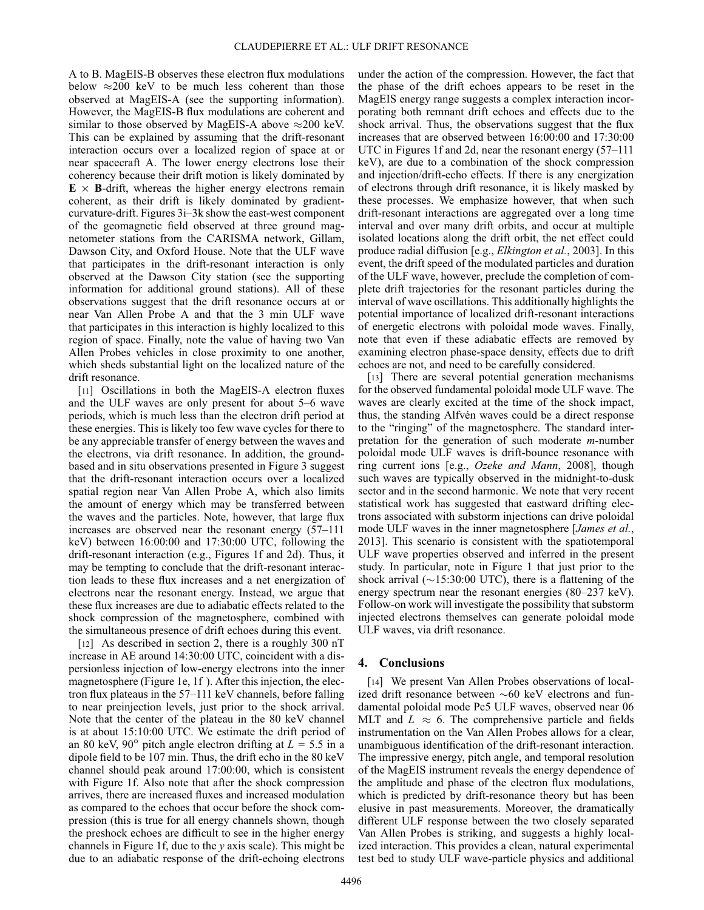A to B. MagEIS-B observes these electron flux modulations below  $\approx$ 200 keV to be much less coherent than those observed at MagEIS-A (see the supporting information). However, the MagEIS-B flux modulations are coherent and similar to those observed by MagEIS-A above  $\approx$ 200 keV. This can be explained by assuming that the drift-resonant interaction occurs over a localized region of space at or near spacecraft A. The lower energy electrons lose their coherency because their drift motion is likely dominated by  $\mathbf{E} \times \mathbf{B}$ -drift, whereas the higher energy electrons remain coherent, as their drift is likely dominated by gradientcurvature-drift. Figures [3i–3k](#page-4-0) show the east-west component of the geomagnetic field observed at three ground magnetometer stations from the CARISMA network, Gillam, Dawson City, and Oxford House. Note that the ULF wave that participates in the drift-resonant interaction is only observed at the Dawson City station (see the supporting information for additional ground stations). All of these observations suggest that the drift resonance occurs at or near Van Allen Probe A and that the 3 min ULF wave that participates in this interaction is highly localized to this region of space. Finally, note the value of having two Van Allen Probes vehicles in close proximity to one another, which sheds substantial light on the localized nature of the drift resonance.

[11] Oscillations in both the MagEIS-A electron fluxes and the ULF waves are only present for about 5–6 wave periods, which is much less than the electron drift period at these energies. This is likely too few wave cycles for there to be any appreciable transfer of energy between the waves and the electrons, via drift resonance. In addition, the groundbased and in situ observations presented in Figure [3](#page-4-0) suggest that the drift-resonant interaction occurs over a localized spatial region near Van Allen Probe A, which also limits the amount of energy which may be transferred between the waves and the particles. Note, however, that large flux increases are observed near the resonant energy (57–111 keV) between 16:00:00 and 17:30:00 UTC, following the drift-resonant interaction (e.g., Figures [1f](#page-2-0) and [2d](#page-3-0)). Thus, it may be tempting to conclude that the drift-resonant interaction leads to these flux increases and a net energization of electrons near the resonant energy. Instead, we argue that these flux increases are due to adiabatic effects related to the shock compression of the magnetosphere, combined with the simultaneous presence of drift echoes during this event.

[12] As described in section [2,](#page-1-0) there is a roughly 300 nT increase in AE around 14:30:00 UTC, coincident with a dispersionless injection of low-energy electrons into the inner magnetosphere (Figure [1e](#page-2-0), [1f](#page-2-0) ). After this injection, the electron flux plateaus in the 57–111 keV channels, before falling to near preinjection levels, just prior to the shock arrival. Note that the center of the plateau in the 80 keV channel is at about 15:10:00 UTC. We estimate the drift period of an 80 keV, 90 $^{\circ}$  pitch angle electron drifting at  $L = 5.5$  in a dipole field to be 107 min. Thus, the drift echo in the 80 keV channel should peak around 17:00:00, which is consistent with Figure [1f](#page-2-0). Also note that after the shock compression arrives, there are increased fluxes and increased modulation as compared to the echoes that occur before the shock compression (this is true for all energy channels shown, though the preshock echoes are difficult to see in the higher energy channels in Figure [1f](#page-2-0), due to the *y* axis scale). This might be due to an adiabatic response of the drift-echoing electrons

under the action of the compression. However, the fact that the phase of the drift echoes appears to be reset in the MagEIS energy range suggests a complex interaction incorporating both remnant drift echoes and effects due to the shock arrival. Thus, the observations suggest that the flux increases that are observed between 16:00:00 and 17:30:00 UTC in Figures [1f](#page-2-0) and [2d](#page-3-0), near the resonant energy (57–111 keV), are due to a combination of the shock compression and injection/drift-echo effects. If there is any energization of electrons through drift resonance, it is likely masked by these processes. We emphasize however, that when such drift-resonant interactions are aggregated over a long time interval and over many drift orbits, and occur at multiple isolated locations along the drift orbit, the net effect could produce radial diffusion [e.g., *[Elkington et al.](#page-6-10)*, [2003\]](#page-6-10). In this event, the drift speed of the modulated particles and duration of the ULF wave, however, preclude the completion of complete drift trajectories for the resonant particles during the interval of wave oscillations. This additionally highlights the potential importance of localized drift-resonant interactions of energetic electrons with poloidal mode waves. Finally, note that even if these adiabatic effects are removed by examining electron phase-space density, effects due to drift echoes are not, and need to be carefully considered.

[13] There are several potential generation mechanisms for the observed fundamental poloidal mode ULF wave. The waves are clearly excited at the time of the shock impact, thus, the standing Alfvén waves could be a direct response to the "ringing" of the magnetosphere. The standard interpretation for the generation of such moderate *m*-number poloidal mode ULF waves is drift-bounce resonance with ring current ions [e.g., *[Ozeke and Mann](#page-6-9)*, [2008\]](#page-6-9), though such waves are typically observed in the midnight-to-dusk sector and in the second harmonic. We note that very recent statistical work has suggested that eastward drifting electrons associated with substorm injections can drive poloidal mode ULF waves in the inner magnetosphere [*James et al.*, 2013[\].](#page-6-11) [This](#page-6-11) [scenario](#page-6-11) [is](#page-6-11) [consistent](#page-6-11) [with](#page-6-11) [the](#page-6-11) [sp](#page-6-11)atiotemporal ULF wave properties observed and inferred in the present study. In particular, note in Figure [1](#page-2-0) that just prior to the shock arrival ( $\sim$ 15:30:00 UTC), there is a flattening of the energy spectrum near the resonant energies (80–237 keV). Follow-on work will investigate the possibility that substorm injected electrons themselves can generate poloidal mode ULF waves, via drift resonance.

## **4. Conclusions**

[14] We present Van Allen Probes observations of localized drift resonance between  $\sim 60$  keV electrons and fundamental poloidal mode Pc5 ULF waves, observed near 06 MLT and  $L \approx 6$ . The comprehensive particle and fields instrumentation on the Van Allen Probes allows for a clear, unambiguous identification of the drift-resonant interaction. The impressive energy, pitch angle, and temporal resolution of the MagEIS instrument reveals the energy dependence of the amplitude and phase of the electron flux modulations, which is predicted by drift-resonance theory but has been elusive in past measurements. Moreover, the dramatically different ULF response between the two closely separated Van Allen Probes is striking, and suggests a highly localized interaction. This provides a clean, natural experimental test bed to study ULF wave-particle physics and additional